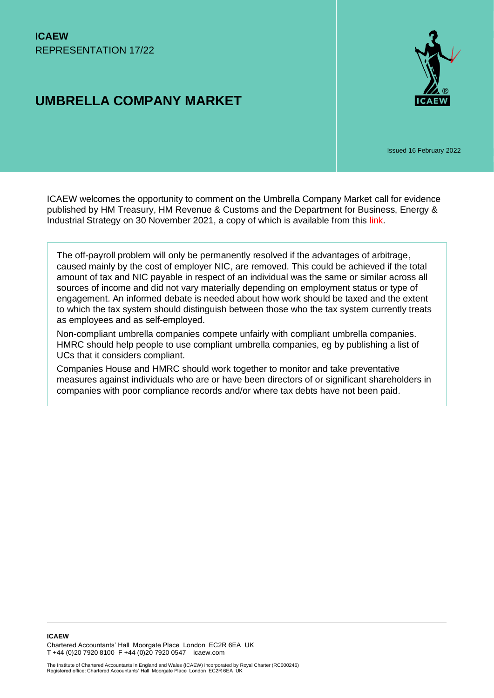# **UMBRELLA COMPANY MARKET**



Issued 16 February 2022

ICAEW welcomes the opportunity to comment on the Umbrella Company Market call for evidence published by HM Treasury, HM Revenue & Customs and the Department for Business, Energy & Industrial Strategy on 30 November 2021, a copy of which is available from this [link.](https://www.gov.uk/government/consultations/call-for-evidence-umbrella-company-market)

The off-payroll problem will only be permanently resolved if the advantages of arbitrage, caused mainly by the cost of employer NIC, are removed. This could be achieved if the total amount of tax and NIC payable in respect of an individual was the same or similar across all sources of income and did not vary materially depending on employment status or type of engagement. An informed debate is needed about how work should be taxed and the extent to which the tax system should distinguish between those who the tax system currently treats as employees and as self-employed.

Non-compliant umbrella companies compete unfairly with compliant umbrella companies. HMRC should help people to use compliant umbrella companies, eg by publishing a list of UCs that it considers compliant.

Companies House and HMRC should work together to monitor and take preventative measures against individuals who are or have been directors of or significant shareholders in companies with poor compliance records and/or where tax debts have not been paid.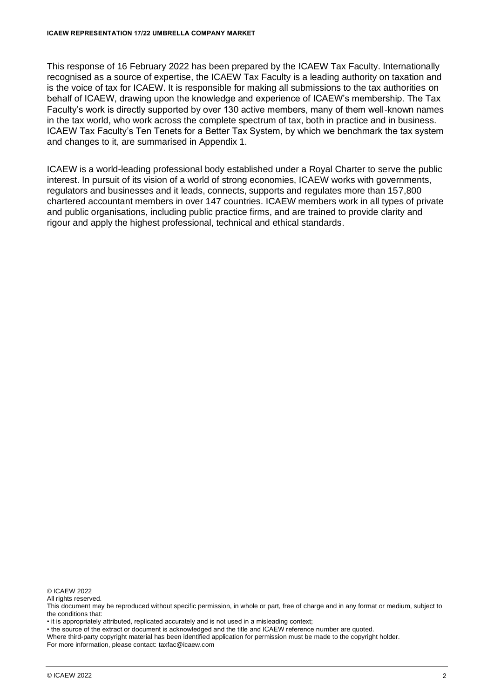This response of 16 February 2022 has been prepared by the ICAEW Tax Faculty. Internationally recognised as a source of expertise, the ICAEW Tax Faculty is a leading authority on taxation and is the voice of tax for ICAEW. It is responsible for making all submissions to the tax authorities on behalf of ICAEW, drawing upon the knowledge and experience of ICAEW's membership. The Tax Faculty's work is directly supported by over 130 active members, many of them well-known names in the tax world, who work across the complete spectrum of tax, both in practice and in business. ICAEW Tax Faculty's Ten Tenets for a Better Tax System, by which we benchmark the tax system and changes to it, are summarised in Appendix 1.

ICAEW is a world-leading professional body established under a Royal Charter to serve the public interest. In pursuit of its vision of a world of strong economies, ICAEW works with governments, regulators and businesses and it leads, connects, supports and regulates more than 157,800 chartered accountant members in over 147 countries. ICAEW members work in all types of private and public organisations, including public practice firms, and are trained to provide clarity and rigour and apply the highest professional, technical and ethical standards.

© ICAEW 2022

All rights reserved.

This document may be reproduced without specific permission, in whole or part, free of charge and in any format or medium, subject to the conditions that:

• it is appropriately attributed, replicated accurately and is not used in a misleading context;

• the source of the extract or document is acknowledged and the title and ICAEW reference number are quoted.

Where third-party copyright material has been identified application for permission must be made to the copyright holder. For more information, please contact: taxfac@icaew.com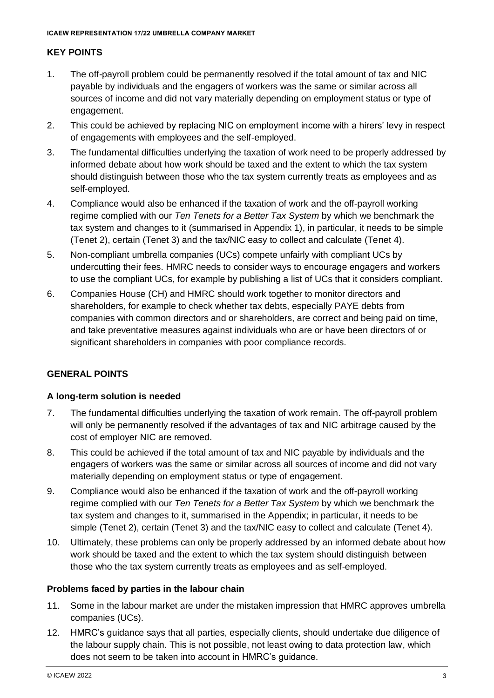### **KEY POINTS**

- 1. The off-payroll problem could be permanently resolved if the total amount of tax and NIC payable by individuals and the engagers of workers was the same or similar across all sources of income and did not vary materially depending on employment status or type of engagement.
- 2. This could be achieved by replacing NIC on employment income with a hirers' levy in respect of engagements with employees and the self-employed.
- 3. The fundamental difficulties underlying the taxation of work need to be properly addressed by informed debate about how work should be taxed and the extent to which the tax system should distinguish between those who the tax system currently treats as employees and as self-employed.
- 4. Compliance would also be enhanced if the taxation of work and the off-payroll working regime complied with our *Ten Tenets for a Better Tax System* by which we benchmark the tax system and changes to it (summarised in Appendix 1), in particular, it needs to be simple (Tenet 2), certain (Tenet 3) and the tax/NIC easy to collect and calculate (Tenet 4).
- 5. Non-compliant umbrella companies (UCs) compete unfairly with compliant UCs by undercutting their fees. HMRC needs to consider ways to encourage engagers and workers to use the compliant UCs, for example by publishing a list of UCs that it considers compliant.
- 6. Companies House (CH) and HMRC should work together to monitor directors and shareholders, for example to check whether tax debts, especially PAYE debts from companies with common directors and or shareholders, are correct and being paid on time, and take preventative measures against individuals who are or have been directors of or significant shareholders in companies with poor compliance records.

### **GENERAL POINTS**

### **A long-term solution is needed**

- 7. The fundamental difficulties underlying the taxation of work remain. The off-payroll problem will only be permanently resolved if the advantages of tax and NIC arbitrage caused by the cost of employer NIC are removed.
- 8. This could be achieved if the total amount of tax and NIC payable by individuals and the engagers of workers was the same or similar across all sources of income and did not vary materially depending on employment status or type of engagement.
- 9. Compliance would also be enhanced if the taxation of work and the off-payroll working regime complied with our *Ten Tenets for a Better Tax System* by which we benchmark the tax system and changes to it, summarised in the Appendix; in particular, it needs to be simple (Tenet 2), certain (Tenet 3) and the tax/NIC easy to collect and calculate (Tenet 4).
- 10. Ultimately, these problems can only be properly addressed by an informed debate about how work should be taxed and the extent to which the tax system should distinguish between those who the tax system currently treats as employees and as self-employed.

### **Problems faced by parties in the labour chain**

- 11. Some in the labour market are under the mistaken impression that HMRC approves umbrella companies (UCs).
- 12. HMRC's guidance says that all parties, especially clients, should undertake due diligence of the labour supply chain. This is not possible, not least owing to data protection law, which does not seem to be taken into account in HMRC's guidance.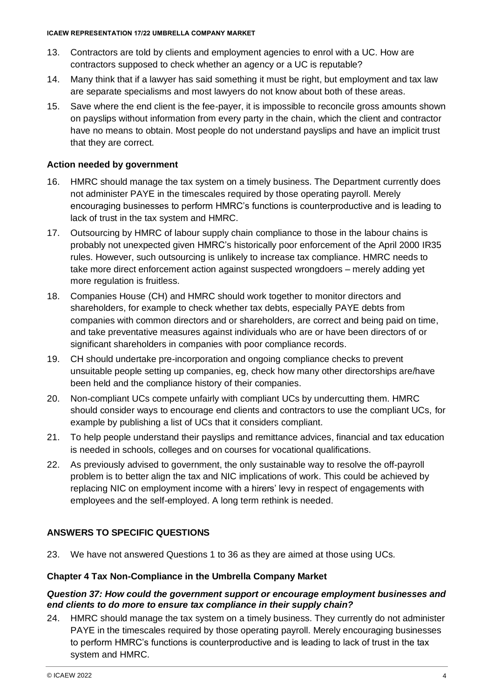- 13. Contractors are told by clients and employment agencies to enrol with a UC. How are contractors supposed to check whether an agency or a UC is reputable?
- 14. Many think that if a lawyer has said something it must be right, but employment and tax law are separate specialisms and most lawyers do not know about both of these areas.
- 15. Save where the end client is the fee-payer, it is impossible to reconcile gross amounts shown on payslips without information from every party in the chain, which the client and contractor have no means to obtain. Most people do not understand payslips and have an implicit trust that they are correct.

### **Action needed by government**

- 16. HMRC should manage the tax system on a timely business. The Department currently does not administer PAYE in the timescales required by those operating payroll. Merely encouraging businesses to perform HMRC's functions is counterproductive and is leading to lack of trust in the tax system and HMRC.
- 17. Outsourcing by HMRC of labour supply chain compliance to those in the labour chains is probably not unexpected given HMRC's historically poor enforcement of the April 2000 IR35 rules. However, such outsourcing is unlikely to increase tax compliance. HMRC needs to take more direct enforcement action against suspected wrongdoers – merely adding yet more regulation is fruitless.
- 18. Companies House (CH) and HMRC should work together to monitor directors and shareholders, for example to check whether tax debts, especially PAYE debts from companies with common directors and or shareholders, are correct and being paid on time, and take preventative measures against individuals who are or have been directors of or significant shareholders in companies with poor compliance records.
- 19. CH should undertake pre-incorporation and ongoing compliance checks to prevent unsuitable people setting up companies, eg, check how many other directorships are/have been held and the compliance history of their companies.
- 20. Non-compliant UCs compete unfairly with compliant UCs by undercutting them. HMRC should consider ways to encourage end clients and contractors to use the compliant UCs, for example by publishing a list of UCs that it considers compliant.
- 21. To help people understand their payslips and remittance advices, financial and tax education is needed in schools, colleges and on courses for vocational qualifications.
- 22. As previously advised to government, the only sustainable way to resolve the off-payroll problem is to better align the tax and NIC implications of work. This could be achieved by replacing NIC on employment income with a hirers' levy in respect of engagements with employees and the self-employed. A long term rethink is needed.

## **ANSWERS TO SPECIFIC QUESTIONS**

23. We have not answered Questions 1 to 36 as they are aimed at those using UCs.

### **Chapter 4 Tax Non-Compliance in the Umbrella Company Market**

### *Question 37: How could the government support or encourage employment businesses and end clients to do more to ensure tax compliance in their supply chain?*

24. HMRC should manage the tax system on a timely business. They currently do not administer PAYE in the timescales required by those operating payroll. Merely encouraging businesses to perform HMRC's functions is counterproductive and is leading to lack of trust in the tax system and HMRC.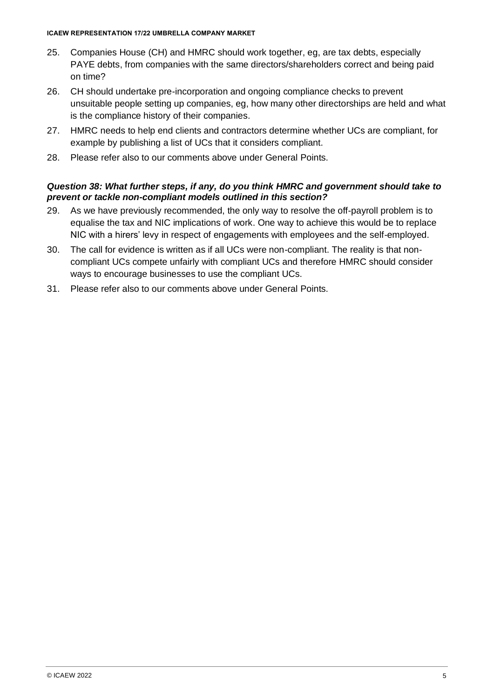#### **ICAEW REPRESENTATION 17/22 UMBRELLA COMPANY MARKET**

- 25. Companies House (CH) and HMRC should work together, eg, are tax debts, especially PAYE debts, from companies with the same directors/shareholders correct and being paid on time?
- 26. CH should undertake pre-incorporation and ongoing compliance checks to prevent unsuitable people setting up companies, eg, how many other directorships are held and what is the compliance history of their companies.
- 27. HMRC needs to help end clients and contractors determine whether UCs are compliant, for example by publishing a list of UCs that it considers compliant.
- 28. Please refer also to our comments above under General Points.

### *Question 38: What further steps, if any, do you think HMRC and government should take to prevent or tackle non-compliant models outlined in this section?*

- 29. As we have previously recommended, the only way to resolve the off-payroll problem is to equalise the tax and NIC implications of work. One way to achieve this would be to replace NIC with a hirers' levy in respect of engagements with employees and the self-employed.
- 30. The call for evidence is written as if all UCs were non-compliant. The reality is that noncompliant UCs compete unfairly with compliant UCs and therefore HMRC should consider ways to encourage businesses to use the compliant UCs.
- 31. Please refer also to our comments above under General Points.